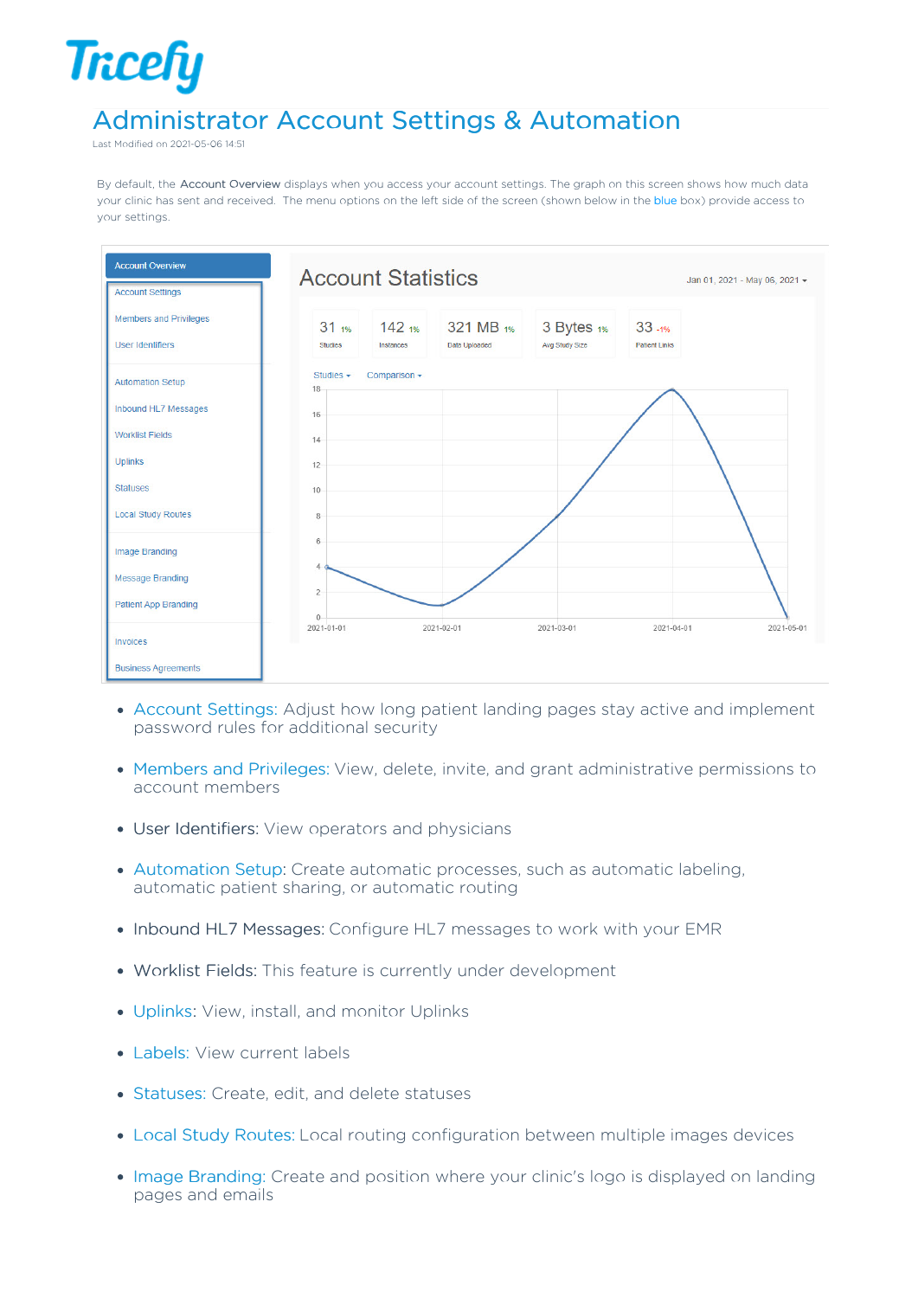## Administrator Account Settings & Automation

Last Modified on 2021-05-06 14:51

**Tricefy** 

By default, the Account Overview displays when you access your account settings. The graph on this screen shows how much data your clinic has sent and received. The menu options on the left side of the screen (shown below in the blue box) provide access to your settings.



- Account Settings: Adjust how long patient landing pages stay active and implement password rules for additional security
- Members and Privileges: View, delete, invite, and grant administrative permissions to account members
- User Identifiers: View operators and physicians
- Automation Setup: Create automatic processes, such as automatic labeling, automatic patient sharing, or automatic routing
- Inbound HL7 Messages: Configure HL7 messages to work with your EMR
- Worklist Fields: This feature is currently under development
- Uplinks: View, install, and monitor Uplinks
- Labels: View current labels
- Statuses: Create, edit, and delete statuses
- Local Study Routes: Local routing configuration between multiple images devices
- Image Branding: Create and position where your clinic's logo is displayed on landing pages and emails